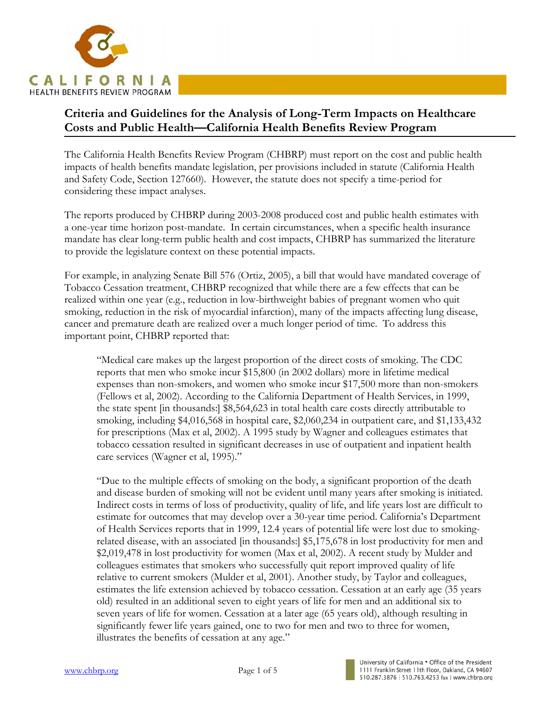

# **Criteria and Guidelines for the Analysis of Long-Term Impacts on Healthcare Costs and Public Health—California Health Benefits Review Program**

The California Health Benefits Review Program (CHBRP) must report on the cost and public health impacts of health benefits mandate legislation, per provisions included in statute (California Health and Safety Code, Section 127660). However, the statute does not specify a time-period for considering these impact analyses.

The reports produced by CHBRP during 2003-2008 produced cost and public health estimates with a one-year time horizon post-mandate. In certain circumstances, when a specific health insurance mandate has clear long-term public health and cost impacts, CHBRP has summarized the literature to provide the legislature context on these potential impacts.

For example, in analyzing Senate Bill 576 (Ortiz, 2005), a bill that would have mandated coverage of Tobacco Cessation treatment, CHBRP recognized that while there are a few effects that can be realized within one year (e.g., reduction in low-birthweight babies of pregnant women who quit smoking, reduction in the risk of myocardial infarction), many of the impacts affecting lung disease, cancer and premature death are realized over a much longer period of time. To address this important point, CHBRP reported that:

"Medical care makes up the largest proportion of the direct costs of smoking. The CDC reports that men who smoke incur \$15,800 (in 2002 dollars) more in lifetime medical expenses than non-smokers, and women who smoke incur \$17,500 more than non-smokers (Fellows et al, 2002). According to the California Department of Health Services, in 1999, the state spent [in thousands:] \$8,564,623 in total health care costs directly attributable to smoking, including \$4,016,568 in hospital care, \$2,060,234 in outpatient care, and \$1,133,432 for prescriptions (Max et al, 2002). A 1995 study by Wagner and colleagues estimates that tobacco cessation resulted in significant decreases in use of outpatient and inpatient health care services (Wagner et al, 1995)."

"Due to the multiple effects of smoking on the body, a significant proportion of the death and disease burden of smoking will not be evident until many years after smoking is initiated. Indirect costs in terms of loss of productivity, quality of life, and life years lost are difficult to estimate for outcomes that may develop over a 30-year time period. California's Department of Health Services reports that in 1999, 12.4 years of potential life were lost due to smokingrelated disease, with an associated [in thousands:] \$5,175,678 in lost productivity for men and \$2,019,478 in lost productivity for women (Max et al, 2002). A recent study by Mulder and colleagues estimates that smokers who successfully quit report improved quality of life relative to current smokers (Mulder et al, 2001). Another study, by Taylor and colleagues, estimates the life extension achieved by tobacco cessation. Cessation at an early age (35 years old) resulted in an additional seven to eight years of life for men and an additional six to seven years of life for women. Cessation at a later age (65 years old), although resulting in significantly fewer life years gained, one to two for men and two to three for women, illustrates the benefits of cessation at any age."

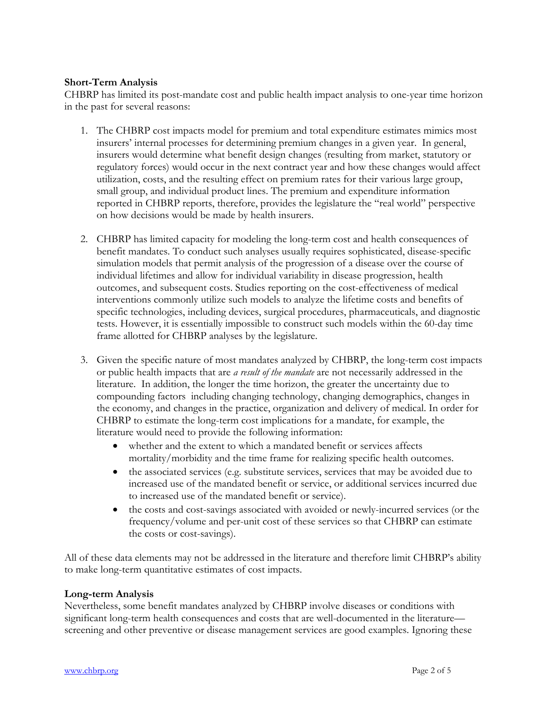### **Short-Term Analysis**

CHBRP has limited its post-mandate cost and public health impact analysis to one-year time horizon in the past for several reasons:

- 1. The CHBRP cost impacts model for premium and total expenditure estimates mimics most insurers' internal processes for determining premium changes in a given year. In general, insurers would determine what benefit design changes (resulting from market, statutory or regulatory forces) would occur in the next contract year and how these changes would affect utilization, costs, and the resulting effect on premium rates for their various large group, small group, and individual product lines. The premium and expenditure information reported in CHBRP reports, therefore, provides the legislature the "real world" perspective on how decisions would be made by health insurers.
- 2. CHBRP has limited capacity for modeling the long-term cost and health consequences of benefit mandates. To conduct such analyses usually requires sophisticated, disease-specific simulation models that permit analysis of the progression of a disease over the course of individual lifetimes and allow for individual variability in disease progression, health outcomes, and subsequent costs. Studies reporting on the cost-effectiveness of medical interventions commonly utilize such models to analyze the lifetime costs and benefits of specific technologies, including devices, surgical procedures, pharmaceuticals, and diagnostic tests. However, it is essentially impossible to construct such models within the 60-day time frame allotted for CHBRP analyses by the legislature.
- 3. Given the specific nature of most mandates analyzed by CHBRP, the long-term cost impacts or public health impacts that are *a result of the mandate* are not necessarily addressed in the literature. In addition, the longer the time horizon, the greater the uncertainty due to compounding factors including changing technology, changing demographics, changes in the economy, and changes in the practice, organization and delivery of medical. In order for CHBRP to estimate the long-term cost implications for a mandate, for example, the literature would need to provide the following information:
	- whether and the extent to which a mandated benefit or services affects mortality/morbidity and the time frame for realizing specific health outcomes.
	- the associated services (e.g. substitute services, services that may be avoided due to increased use of the mandated benefit or service, or additional services incurred due to increased use of the mandated benefit or service).
	- the costs and cost-savings associated with avoided or newly-incurred services (or the frequency/volume and per-unit cost of these services so that CHBRP can estimate the costs or cost-savings).

All of these data elements may not be addressed in the literature and therefore limit CHBRP's ability to make long-term quantitative estimates of cost impacts.

#### **Long-term Analysis**

Nevertheless, some benefit mandates analyzed by CHBRP involve diseases or conditions with significant long-term health consequences and costs that are well-documented in the literature screening and other preventive or disease management services are good examples. Ignoring these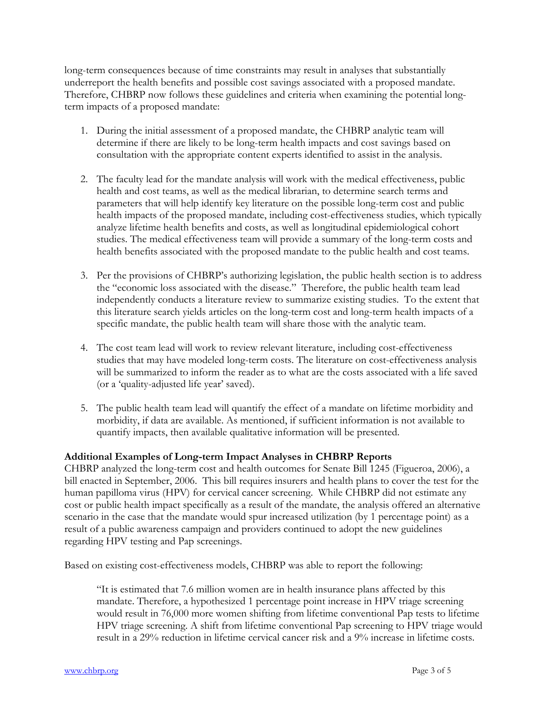long-term consequences because of time constraints may result in analyses that substantially underreport the health benefits and possible cost savings associated with a proposed mandate. Therefore, CHBRP now follows these guidelines and criteria when examining the potential longterm impacts of a proposed mandate:

- 1. During the initial assessment of a proposed mandate, the CHBRP analytic team will determine if there are likely to be long-term health impacts and cost savings based on consultation with the appropriate content experts identified to assist in the analysis.
- 2. The faculty lead for the mandate analysis will work with the medical effectiveness, public health and cost teams, as well as the medical librarian, to determine search terms and parameters that will help identify key literature on the possible long-term cost and public health impacts of the proposed mandate, including cost-effectiveness studies, which typically analyze lifetime health benefits and costs, as well as longitudinal epidemiological cohort studies. The medical effectiveness team will provide a summary of the long-term costs and health benefits associated with the proposed mandate to the public health and cost teams.
- 3. Per the provisions of CHBRP's authorizing legislation, the public health section is to address the "economic loss associated with the disease." Therefore, the public health team lead independently conducts a literature review to summarize existing studies. To the extent that this literature search yields articles on the long-term cost and long-term health impacts of a specific mandate, the public health team will share those with the analytic team.
- 4. The cost team lead will work to review relevant literature, including cost-effectiveness studies that may have modeled long-term costs. The literature on cost-effectiveness analysis will be summarized to inform the reader as to what are the costs associated with a life saved (or a 'quality-adjusted life year' saved).
- 5. The public health team lead will quantify the effect of a mandate on lifetime morbidity and morbidity, if data are available. As mentioned, if sufficient information is not available to quantify impacts, then available qualitative information will be presented.

## **Additional Examples of Long-term Impact Analyses in CHBRP Reports**

CHBRP analyzed the long-term cost and health outcomes for Senate Bill 1245 (Figueroa, 2006), a bill enacted in September, 2006. This bill requires insurers and health plans to cover the test for the human papilloma virus (HPV) for cervical cancer screening. While CHBRP did not estimate any cost or public health impact specifically as a result of the mandate, the analysis offered an alternative scenario in the case that the mandate would spur increased utilization (by 1 percentage point) as a result of a public awareness campaign and providers continued to adopt the new guidelines regarding HPV testing and Pap screenings.

Based on existing cost-effectiveness models, CHBRP was able to report the following:

"It is estimated that 7.6 million women are in health insurance plans affected by this mandate. Therefore, a hypothesized 1 percentage point increase in HPV triage screening would result in 76,000 more women shifting from lifetime conventional Pap tests to lifetime HPV triage screening. A shift from lifetime conventional Pap screening to HPV triage would result in a 29% reduction in lifetime cervical cancer risk and a 9% increase in lifetime costs.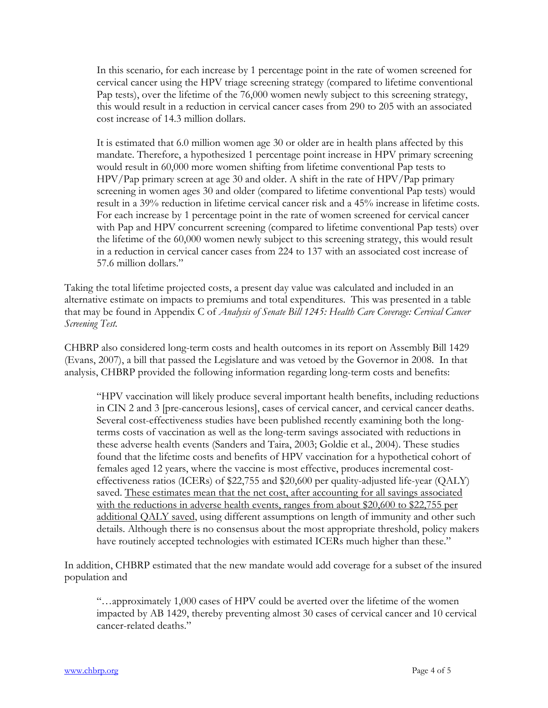In this scenario, for each increase by 1 percentage point in the rate of women screened for cervical cancer using the HPV triage screening strategy (compared to lifetime conventional Pap tests), over the lifetime of the 76,000 women newly subject to this screening strategy, this would result in a reduction in cervical cancer cases from 290 to 205 with an associated cost increase of 14.3 million dollars.

It is estimated that 6.0 million women age 30 or older are in health plans affected by this mandate. Therefore, a hypothesized 1 percentage point increase in HPV primary screening would result in 60,000 more women shifting from lifetime conventional Pap tests to HPV/Pap primary screen at age 30 and older. A shift in the rate of HPV/Pap primary screening in women ages 30 and older (compared to lifetime conventional Pap tests) would result in a 39% reduction in lifetime cervical cancer risk and a 45% increase in lifetime costs. For each increase by 1 percentage point in the rate of women screened for cervical cancer with Pap and HPV concurrent screening (compared to lifetime conventional Pap tests) over the lifetime of the 60,000 women newly subject to this screening strategy, this would result in a reduction in cervical cancer cases from 224 to 137 with an associated cost increase of 57.6 million dollars."

Taking the total lifetime projected costs, a present day value was calculated and included in an alternative estimate on impacts to premiums and total expenditures. This was presented in a table that may be found in Appendix C of *Analysis of Senate Bill 1245: Health Care Coverage: Cervical Cancer Screening Test.* 

CHBRP also considered long-term costs and health outcomes in its report on Assembly Bill 1429 (Evans, 2007), a bill that passed the Legislature and was vetoed by the Governor in 2008. In that analysis, CHBRP provided the following information regarding long-term costs and benefits:

"HPV vaccination will likely produce several important health benefits, including reductions in CIN 2 and 3 [pre-cancerous lesions], cases of cervical cancer, and cervical cancer deaths. Several cost-effectiveness studies have been published recently examining both the longterms costs of vaccination as well as the long-term savings associated with reductions in these adverse health events (Sanders and Taira, 2003; Goldie et al., 2004). These studies found that the lifetime costs and benefits of HPV vaccination for a hypothetical cohort of females aged 12 years, where the vaccine is most effective, produces incremental costeffectiveness ratios (ICERs) of \$22,755 and \$20,600 per quality-adjusted life-year (QALY) saved. These estimates mean that the net cost, after accounting for all savings associated with the reductions in adverse health events, ranges from about \$20,600 to \$22,755 per additional QALY saved, using different assumptions on length of immunity and other such details. Although there is no consensus about the most appropriate threshold, policy makers have routinely accepted technologies with estimated ICERs much higher than these."

In addition, CHBRP estimated that the new mandate would add coverage for a subset of the insured population and

"…approximately 1,000 cases of HPV could be averted over the lifetime of the women impacted by AB 1429, thereby preventing almost 30 cases of cervical cancer and 10 cervical cancer-related deaths."